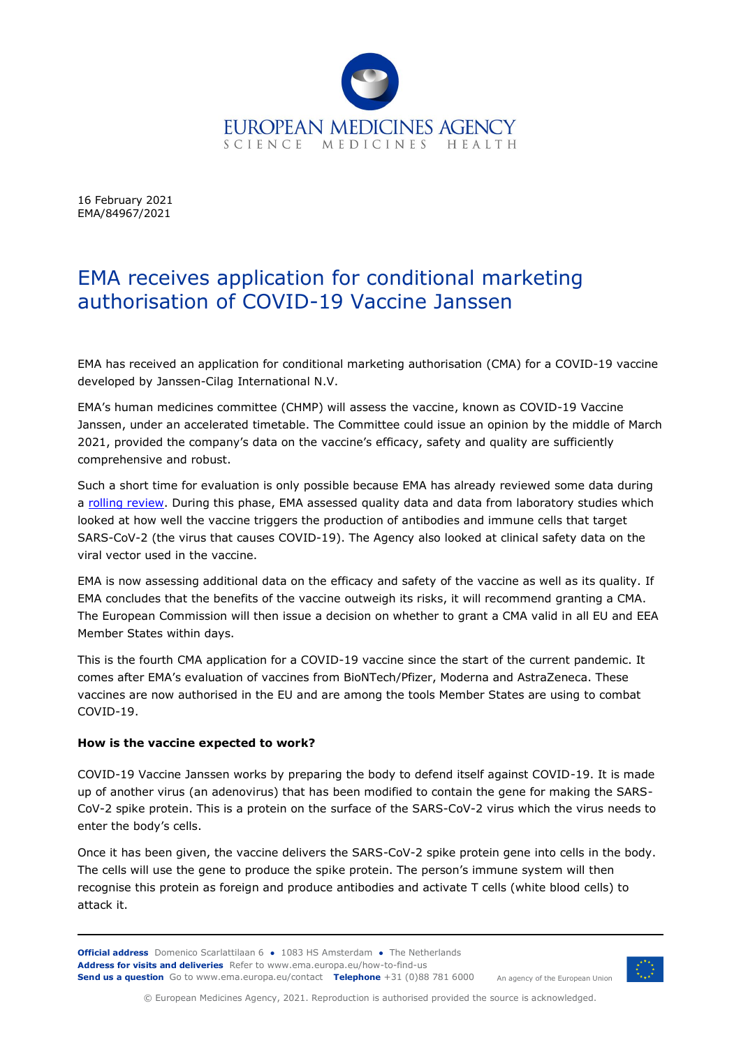

16 February 2021 EMA/84967/2021

## EMA receives application for conditional marketing authorisation of COVID-19 Vaccine Janssen

EMA has received an application for conditional marketing authorisation (CMA) for a COVID-19 vaccine developed by Janssen-Cilag International N.V.

EMA's human medicines committee (CHMP) will assess the vaccine, known as COVID-19 Vaccine Janssen, under an accelerated timetable. The Committee could issue an opinion by the middle of March 2021, provided the company's data on the vaccine's efficacy, safety and quality are sufficiently comprehensive and robust.

Such a short time for evaluation is only possible because EMA has already reviewed some data during a [rolling review.](https://www.ema.europa.eu/en/news/ema-starts-rolling-review-janssens-covid-19-vaccine-ad26cov2s) During this phase, EMA assessed quality data and data from laboratory studies which looked at how well the vaccine triggers the production of antibodies and immune cells that target SARS-CoV-2 (the virus that causes COVID-19). The Agency also looked at clinical safety data on the viral vector used in the vaccine.

EMA is now assessing additional data on the efficacy and safety of the vaccine as well as its quality. If EMA concludes that the benefits of the vaccine outweigh its risks, it will recommend granting a CMA. The European Commission will then issue a decision on whether to grant a CMA valid in all EU and EEA Member States within days.

This is the fourth CMA application for a COVID-19 vaccine since the start of the current pandemic. It comes after EMA's evaluation of vaccines from BioNTech/Pfizer, Moderna and AstraZeneca. These vaccines are now authorised in the EU and are among the tools Member States are using to combat COVID-19.

## **How is the vaccine expected to work?**

COVID-19 Vaccine Janssen works by preparing the body to defend itself against COVID-19. It is made up of another virus (an adenovirus) that has been modified to contain the gene for making the SARS-CoV-2 spike protein. This is a protein on the surface of the SARS-CoV-2 virus which the virus needs to enter the body's cells.

Once it has been given, the vaccine delivers the SARS-CoV-2 spike protein gene into cells in the body. The cells will use the gene to produce the spike protein. The person's immune system will then recognise this protein as foreign and produce antibodies and activate T cells (white blood cells) to attack it.

**Official address** Domenico Scarlattilaan 6 **●** 1083 HS Amsterdam **●** The Netherlands **Address for visits and deliveries** Refer to [www.ema.europa.eu/how-to-find-us](http://www.ema.europa.eu/how-to-find-us) **Send us a question** Go t[o www.ema.europa.eu/contact](http://www.ema.europa.eu/contact) **Telephone** +31 (0)88 781 6000



An agency of the European Union

© European Medicines Agency, 2021. Reproduction is authorised provided the source is acknowledged.